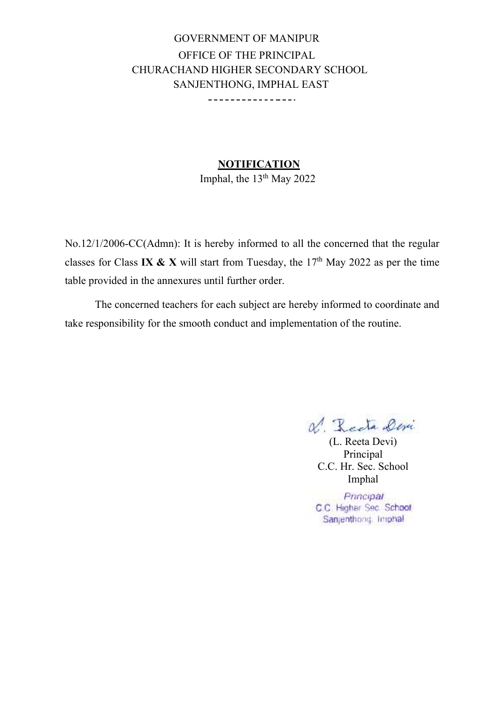GOVERNMENT OF MANIPUR OFFICE OF THE PRINCIPAL CHURACHAND HIGHER SECONDARY SCHOOL SANJENTHONG, IMPHAL EAST \_\_\_\_\_\_\_\_\_\_\_\_\_\_\_\_

**NOTIFICATION** 

Imphal, the  $13<sup>th</sup>$  May 2022

No.12/1/2006-CC(Admn): It is hereby informed to all the concerned that the regular classes for Class **IX & X** will start from Tuesday, the 17th May 2022 as per the time table provided in the annexures until further order.

The concerned teachers for each subject are hereby informed to coordinate and take responsibility for the smooth conduct and implementation of the routine.

V. Recta Deri

(L. Reeta Devi) Principal C.C. Hr. Sec. School Imphal

Principal C.C. Higher Sec. School Sanjenthong, Imphal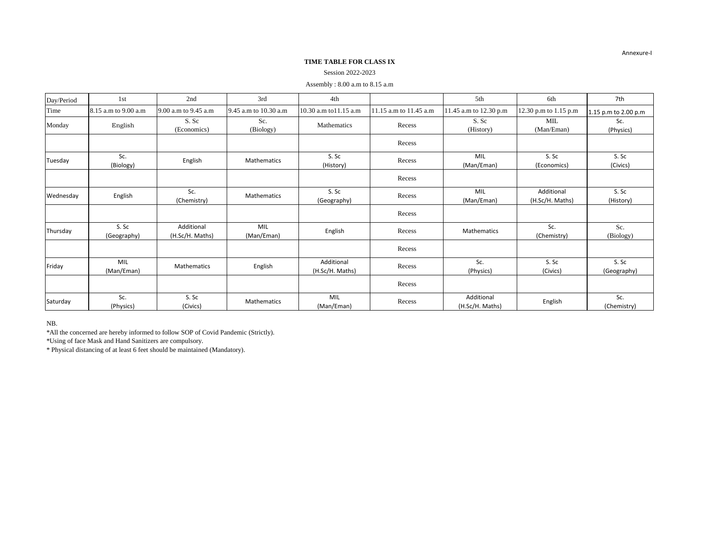## **TIME TABLE FOR CLASS IX**

# Session 2022-2023

# Assembly : 8.00 a.m to 8.15 a.m

| Day/Period | 1st                  | 2nd                           | 3rd                   | 4th                           |                        | 5th                           | 6th                           | 7th                  |
|------------|----------------------|-------------------------------|-----------------------|-------------------------------|------------------------|-------------------------------|-------------------------------|----------------------|
| Time       | 8.15 a.m to 9.00 a.m | 9.00 a.m to 9.45 a.m          | 9.45 a.m to 10.30 a.m | 10.30 a.m to11.15 a.m         | 11.15 a.m to 11.45 a.m | 11.45 a.m to 12.30 p.m        | 12.30 p.m to 1.15 p.m         | 1.15 p.m to 2.00 p.m |
| Monday     | English              | S. Sc<br>(Economics)          | Sc.<br>(Biology)      | Mathematics                   | Recess                 | S. Sc<br>(History)            | MIL<br>(Man/Eman)             | Sc.<br>(Physics)     |
|            |                      |                               |                       |                               | Recess                 |                               |                               |                      |
| Tuesday    | Sc.<br>(Biology)     | English                       | <b>Mathematics</b>    | S. Sc<br>(History)            | Recess                 | MIL<br>(Man/Eman)             | S. Sc<br>(Economics)          | S. Sc<br>(Civics)    |
|            |                      |                               |                       |                               | Recess                 |                               |                               |                      |
| Wednesday  | English              | Sc.<br>(Chemistry)            | Mathematics           | S. Sc<br>(Geography)          | Recess                 | MIL<br>(Man/Eman)             | Additional<br>(H.Sc/H. Maths) | S. Sc<br>(History)   |
|            |                      |                               |                       |                               | Recess                 |                               |                               |                      |
| Thursday   | S. Sc<br>(Geography) | Additional<br>(H.Sc/H. Maths) | MIL<br>(Man/Eman)     | English                       | Recess                 | Mathematics                   | Sc.<br>(Chemistry)            | Sc.<br>(Biology)     |
|            |                      |                               |                       |                               | Recess                 |                               |                               |                      |
| Friday     | MIL<br>(Man/Eman)    | Mathematics                   | English               | Additional<br>(H.Sc/H. Maths) | Recess                 | Sc.<br>(Physics)              | S. Sc<br>(Civics)             | S. Sc<br>(Geography) |
|            |                      |                               |                       |                               | Recess                 |                               |                               |                      |
| Saturday   | Sc.<br>(Physics)     | S. Sc<br>(Civics)             | <b>Mathematics</b>    | MIL<br>(Man/Eman)             | Recess                 | Additional<br>(H.Sc/H. Maths) | English                       | Sc.<br>(Chemistry)   |

NB.

\*All the concerned are hereby informed to follow SOP of Covid Pandemic (Strictly).

\*Using of face Mask and Hand Sanitizers are compulsory.

\* Physical distancing of at least 6 feet should be maintained (Mandatory).

Annexure-I